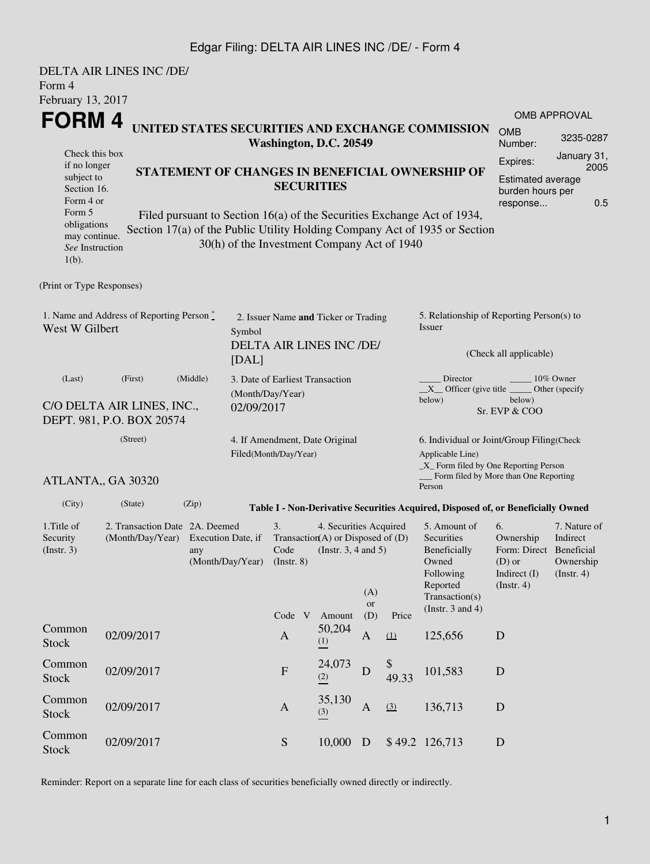#### Edgar Filing: DELTA AIR LINES INC /DE/ - Form 4

| Form 4                                                                | <b>DELTA AIR LINES INC /DE/</b>                                                                  |                        |                                                                                   |                                                         |                                                                                                |                                                  |                        |                                                                                                                                                       |                                                                                                                                                 |                     |  |
|-----------------------------------------------------------------------|--------------------------------------------------------------------------------------------------|------------------------|-----------------------------------------------------------------------------------|---------------------------------------------------------|------------------------------------------------------------------------------------------------|--------------------------------------------------|------------------------|-------------------------------------------------------------------------------------------------------------------------------------------------------|-------------------------------------------------------------------------------------------------------------------------------------------------|---------------------|--|
| February 13, 2017                                                     |                                                                                                  |                        |                                                                                   |                                                         |                                                                                                |                                                  |                        |                                                                                                                                                       |                                                                                                                                                 |                     |  |
| FORM 4                                                                |                                                                                                  |                        |                                                                                   |                                                         |                                                                                                |                                                  |                        |                                                                                                                                                       |                                                                                                                                                 | <b>OMB APPROVAL</b> |  |
|                                                                       |                                                                                                  | Washington, D.C. 20549 |                                                                                   |                                                         |                                                                                                | UNITED STATES SECURITIES AND EXCHANGE COMMISSION | <b>OMB</b><br>Number:  | 3235-0287                                                                                                                                             |                                                                                                                                                 |                     |  |
| Check this box<br>if no longer                                        |                                                                                                  |                        |                                                                                   |                                                         |                                                                                                | Expires:                                         | January 31,<br>2005    |                                                                                                                                                       |                                                                                                                                                 |                     |  |
| subject to<br>Section 16.<br>Form 4 or                                |                                                                                                  |                        |                                                                                   | STATEMENT OF CHANGES IN BENEFICIAL OWNERSHIP OF         | <b>Estimated average</b><br>burden hours per<br>0.5<br>response                                |                                                  |                        |                                                                                                                                                       |                                                                                                                                                 |                     |  |
| Form 5<br>obligations<br>may continue.<br>See Instruction<br>$1(b)$ . |                                                                                                  |                        |                                                                                   | 30(h) of the Investment Company Act of 1940             |                                                                                                |                                                  |                        | Filed pursuant to Section 16(a) of the Securities Exchange Act of 1934,<br>Section 17(a) of the Public Utility Holding Company Act of 1935 or Section |                                                                                                                                                 |                     |  |
| (Print or Type Responses)                                             |                                                                                                  |                        |                                                                                   |                                                         |                                                                                                |                                                  |                        |                                                                                                                                                       |                                                                                                                                                 |                     |  |
| 1. Name and Address of Reporting Person $\degree$<br>West W Gilbert   |                                                                                                  |                        | 2. Issuer Name and Ticker or Trading<br>Symbol<br><b>DELTA AIR LINES INC /DE/</b> |                                                         |                                                                                                |                                                  |                        | 5. Relationship of Reporting Person(s) to<br>Issuer                                                                                                   |                                                                                                                                                 |                     |  |
|                                                                       |                                                                                                  | [DAL]                  |                                                                                   |                                                         |                                                                                                |                                                  | (Check all applicable) |                                                                                                                                                       |                                                                                                                                                 |                     |  |
| (Middle)<br>(Last)<br>(First)<br>C/O DELTA AIR LINES, INC.,           |                                                                                                  |                        | 3. Date of Earliest Transaction<br>(Month/Day/Year)<br>02/09/2017                 |                                                         |                                                                                                |                                                  |                        | 10% Owner<br>Director<br>$X$ Officer (give title $\frac{X}{X}$<br>Other (specify<br>below)<br>below)<br>Sr. EVP & COO                                 |                                                                                                                                                 |                     |  |
|                                                                       | DEPT. 981, P.O. BOX 20574                                                                        |                        |                                                                                   |                                                         |                                                                                                |                                                  |                        |                                                                                                                                                       |                                                                                                                                                 |                     |  |
| (Street)                                                              |                                                                                                  |                        |                                                                                   | 4. If Amendment, Date Original<br>Filed(Month/Day/Year) |                                                                                                |                                                  |                        | 6. Individual or Joint/Group Filing(Check<br>Applicable Line)<br>_X_ Form filed by One Reporting Person<br>Form filed by More than One Reporting      |                                                                                                                                                 |                     |  |
|                                                                       | ATLANTA,, GA 30320                                                                               |                        |                                                                                   |                                                         |                                                                                                |                                                  |                        | Person                                                                                                                                                |                                                                                                                                                 |                     |  |
| (City)                                                                | (State)                                                                                          | (Zip)                  |                                                                                   |                                                         |                                                                                                |                                                  |                        | Table I - Non-Derivative Securities Acquired, Disposed of, or Beneficially Owned                                                                      |                                                                                                                                                 |                     |  |
| 1. Title of<br>Security<br>(Insert. 3)                                | 2. Transaction Date 2A. Deemed<br>(Month/Day/Year) Execution Date, if<br>any<br>(Month/Day/Year) |                        |                                                                                   | 3.<br>$($ Instr. $8)$                                   | 4. Securities Acquired<br>Transaction(A) or Disposed of $(D)$<br>Code (Instr. $3, 4$ and $5$ ) | (A)<br><b>or</b>                                 |                        | 5. Amount of<br>Securities<br>Beneficially<br>Owned<br>Following<br>Reported<br>Transaction(s)                                                        | 6.<br>7. Nature of<br>Ownership<br>Indirect<br>Form: Direct Beneficial<br>$(D)$ or<br>Ownership<br>Indirect $(I)$<br>(Insert. 4)<br>(Insert. 4) |                     |  |
|                                                                       |                                                                                                  |                        |                                                                                   | Code V                                                  | Amount                                                                                         | (D)                                              | Price                  | (Instr. $3$ and $4$ )                                                                                                                                 |                                                                                                                                                 |                     |  |
| Common<br><b>Stock</b>                                                | 02/09/2017                                                                                       |                        |                                                                                   | $\mathbf{A}$                                            | 50,204<br>(1)                                                                                  | A                                                | (1)                    | 125,656                                                                                                                                               | D                                                                                                                                               |                     |  |
| Common<br><b>Stock</b>                                                | 02/09/2017                                                                                       |                        |                                                                                   | ${\bf F}$                                               | 24,073<br>(2)                                                                                  | $\mathbf D$                                      | \$<br>49.33            | 101,583                                                                                                                                               | $\mathbf D$                                                                                                                                     |                     |  |
| Common<br><b>Stock</b>                                                | 02/09/2017                                                                                       |                        |                                                                                   | $\mathbf{A}$                                            | 35,130<br>(3)                                                                                  | $\mathbf{A}$                                     | (3)                    | 136,713                                                                                                                                               | $\mathbf D$                                                                                                                                     |                     |  |
| Common<br>Stock                                                       | 02/09/2017                                                                                       |                        |                                                                                   | ${\mathbf S}$                                           | 10,000 D                                                                                       |                                                  |                        | \$49.2 126,713                                                                                                                                        | $\mathbf D$                                                                                                                                     |                     |  |

Reminder: Report on a separate line for each class of securities beneficially owned directly or indirectly.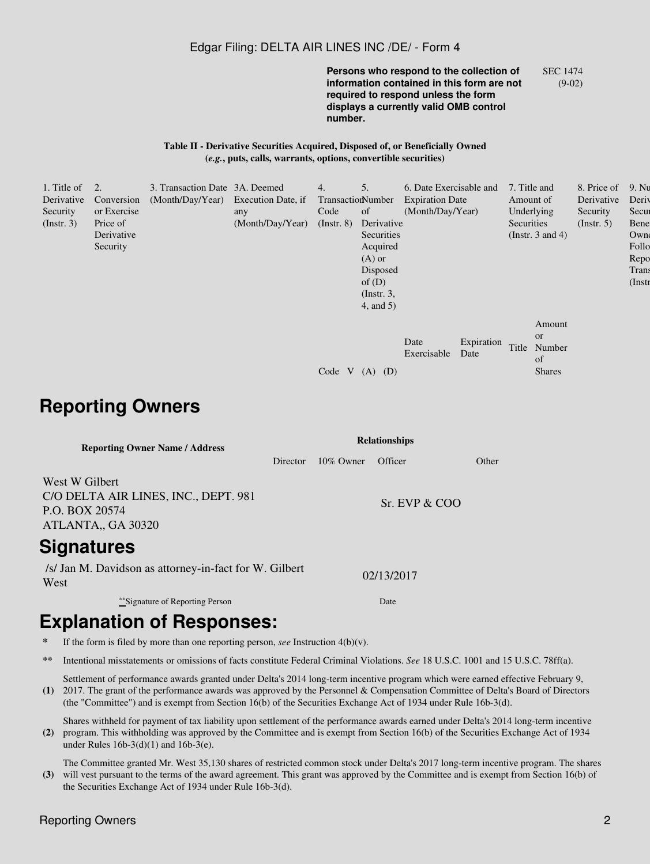#### Edgar Filing: DELTA AIR LINES INC /DE/ - Form 4

**Persons who respond to the collection of information contained in this form are not required to respond unless the form displays a currently valid OMB control number.** SEC 1474 (9-02)

**Table II - Derivative Securities Acquired, Disposed of, or Beneficially Owned (***e.g.***, puts, calls, warrants, options, convertible securities)**

| 1. Title of      | $\overline{2}$ . | 3. Transaction Date 3A. Deemed      |                  | 4.                | 5.              | 6. Date Exercisable and |            | 7. Title and |                       | 8. Price of      | 9. Nu     |
|------------------|------------------|-------------------------------------|------------------|-------------------|-----------------|-------------------------|------------|--------------|-----------------------|------------------|-----------|
| Derivative       | Conversion       | (Month/Day/Year) Execution Date, if |                  | TransactionNumber |                 | <b>Expiration Date</b>  |            | Amount of    |                       | Derivative       | Deriy     |
| Security         | or Exercise      |                                     | any              | Code              | of              | (Month/Day/Year)        |            | Underlying   |                       | Security         | Secur     |
| $($ Instr. 3 $)$ | Price of         |                                     | (Month/Day/Year) | $($ Instr. $8)$   | Derivative      |                         |            | Securities   |                       | $($ Instr. 5 $)$ | Bene      |
|                  | Derivative       |                                     |                  |                   | Securities      |                         |            |              | (Instr. $3$ and $4$ ) |                  | Owne      |
|                  | Security         |                                     |                  |                   | Acquired        |                         |            |              |                       |                  | Follo     |
|                  |                  |                                     |                  |                   | $(A)$ or        |                         |            |              |                       |                  | Repo      |
|                  |                  |                                     |                  |                   | Disposed        |                         |            |              |                       |                  | Trans     |
|                  |                  |                                     |                  |                   | of $(D)$        |                         |            |              |                       |                  | $($ Instr |
|                  |                  |                                     |                  |                   | $($ Instr. 3,   |                         |            |              |                       |                  |           |
|                  |                  |                                     |                  |                   | $4$ , and $5$ ) |                         |            |              |                       |                  |           |
|                  |                  |                                     |                  |                   |                 |                         |            |              | Amount                |                  |           |
|                  |                  |                                     |                  |                   |                 |                         |            |              | or                    |                  |           |
|                  |                  |                                     |                  |                   |                 | Date                    | Expiration | Title        | Number                |                  |           |
|                  |                  |                                     |                  |                   |                 | Exercisable             | Date       |              | of                    |                  |           |
|                  |                  |                                     |                  | Code V            | $(A)$ $(D)$     |                         |            |              | <b>Shares</b>         |                  |           |
|                  |                  |                                     |                  |                   |                 |                         |            |              |                       |                  |           |
|                  |                  |                                     |                  |                   |                 |                         |            |              |                       |                  |           |

## **Reporting Owners**

| <b>Reporting Owner Name / Address</b>                                                          | <b>Relationships</b> |              |               |       |  |  |  |
|------------------------------------------------------------------------------------------------|----------------------|--------------|---------------|-------|--|--|--|
|                                                                                                | Director             | $10\%$ Owner | Officer       | Other |  |  |  |
| West W Gilbert<br>C/O DELTA AIR LINES, INC., DEPT. 981<br>P.O. BOX 20574<br>ATLANTA,, GA 30320 |                      |              | Sr. FVP & COO |       |  |  |  |
| <b>Signatures</b>                                                                              |                      |              |               |       |  |  |  |
| /s/ Jan M. Davidson as attorney-in-fact for W. Gilbert<br>West                                 |                      |              | 02/13/2017    |       |  |  |  |
| **Signature of Reporting Person                                                                |                      |              | Date          |       |  |  |  |

# **Explanation of Responses:**

- If the form is filed by more than one reporting person,  $\text{see}$  Instruction 4(b)(v).
- **\*\*** Intentional misstatements or omissions of facts constitute Federal Criminal Violations. *See* 18 U.S.C. 1001 and 15 U.S.C. 78ff(a).

**(1)** 2017. The grant of the performance awards was approved by the Personnel & Compensation Committee of Delta's Board of Directors Settlement of performance awards granted under Delta's 2014 long-term incentive program which were earned effective February 9, (the "Committee") and is exempt from Section 16(b) of the Securities Exchange Act of 1934 under Rule 16b-3(d).

**(2)** program. This withholding was approved by the Committee and is exempt from Section 16(b) of the Securities Exchange Act of 1934 Shares withheld for payment of tax liability upon settlement of the performance awards earned under Delta's 2014 long-term incentive under Rules 16b-3(d)(1) and 16b-3(e).

**(3)** will vest pursuant to the terms of the award agreement. This grant was approved by the Committee and is exempt from Section 16(b) of The Committee granted Mr. West 35,130 shares of restricted common stock under Delta's 2017 long-term incentive program. The shares the Securities Exchange Act of 1934 under Rule 16b-3(d).